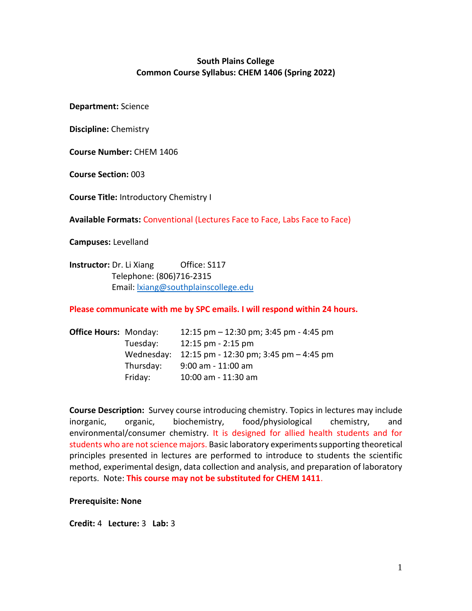## **South Plains College Common Course Syllabus: CHEM 1406 (Spring 2022)**

**Department:** Science

**Discipline:** Chemistry

**Course Number:** CHEM 1406

**Course Section:** 003

**Course Title:** Introductory Chemistry I

**Available Formats:** Conventional (Lectures Face to Face, Labs Face to Face)

**Campuses:** Levelland

**Instructor:** Dr. Li Xiang Office: S117 Telephone: (806)716-2315 Email[: lxiang@southplainscollege.edu](mailto:lxiang@southplainscollege.edu)

**Please communicate with me by SPC emails. I will respond within 24 hours.**

| <b>Office Hours: Monday:</b> |            | 12:15 pm $-$ 12:30 pm; 3:45 pm - 4:45 pm |
|------------------------------|------------|------------------------------------------|
|                              | Tuesday:   | $12:15$ pm $-2:15$ pm                    |
|                              | Wednesday: | 12:15 pm - 12:30 pm; 3:45 pm $-$ 4:45 pm |
|                              | Thursday:  | $9:00$ am - 11:00 am                     |
|                              | Friday:    | 10:00 am - 11:30 am                      |

**Course Description:** Survey course introducing chemistry. Topics in lectures may include inorganic, organic, biochemistry, food/physiological chemistry, and environmental/consumer chemistry. It is designed for allied health students and for students who are not science majors. Basic laboratory experiments supporting theoretical principles presented in lectures are performed to introduce to students the scientific method, experimental design, data collection and analysis, and preparation of laboratory reports. Note: **This course may not be substituted for CHEM 1411**.

**Prerequisite: None**

**Credit:** 4 **Lecture:** 3 **Lab:** 3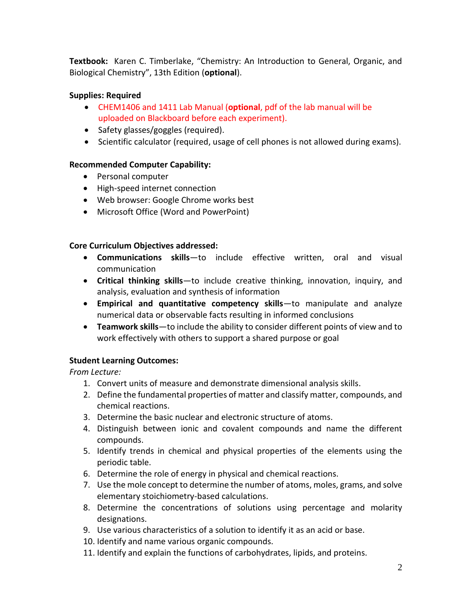**Textbook:** Karen C. Timberlake, "Chemistry: An Introduction to General, Organic, and Biological Chemistry", 13th Edition (**optional**).

# **Supplies: Required**

- CHEM1406 and 1411 Lab Manual (**optional**, pdf of the lab manual will be uploaded on Blackboard before each experiment).
- Safety glasses/goggles (required).
- Scientific calculator (required, usage of cell phones is not allowed during exams).

# **Recommended Computer Capability:**

- Personal computer
- High-speed internet connection
- Web browser: Google Chrome works best
- Microsoft Office (Word and PowerPoint)

# **Core Curriculum Objectives addressed:**

- **Communications skills**—to include effective written, oral and visual communication
- **Critical thinking skills**—to include creative thinking, innovation, inquiry, and analysis, evaluation and synthesis of information
- **Empirical and quantitative competency skills**—to manipulate and analyze numerical data or observable facts resulting in informed conclusions
- **Teamwork skills**—to include the ability to consider different points of view and to work effectively with others to support a shared purpose or goal

# **Student Learning Outcomes:**

*From Lecture:* 

- 1. Convert units of measure and demonstrate dimensional analysis skills.
- 2. Define the fundamental properties of matter and classify matter, compounds, and chemical reactions.
- 3. Determine the basic nuclear and electronic structure of atoms.
- 4. Distinguish between ionic and covalent compounds and name the different compounds.
- 5. Identify trends in chemical and physical properties of the elements using the periodic table.
- 6. Determine the role of energy in physical and chemical reactions.
- 7. Use the mole concept to determine the number of atoms, moles, grams, and solve elementary stoichiometry-based calculations.
- 8. Determine the concentrations of solutions using percentage and molarity designations.
- 9. Use various characteristics of a solution to identify it as an acid or base.
- 10. Identify and name various organic compounds.
- 11. Identify and explain the functions of carbohydrates, lipids, and proteins.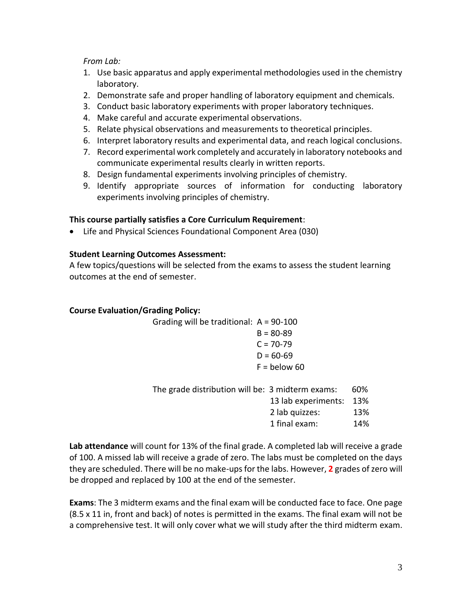## *From Lab:*

- 1. Use basic apparatus and apply experimental methodologies used in the chemistry laboratory.
- 2. Demonstrate safe and proper handling of laboratory equipment and chemicals.
- 3. Conduct basic laboratory experiments with proper laboratory techniques.
- 4. Make careful and accurate experimental observations.
- 5. Relate physical observations and measurements to theoretical principles.
- 6. Interpret laboratory results and experimental data, and reach logical conclusions.
- 7. Record experimental work completely and accurately in laboratory notebooks and communicate experimental results clearly in written reports.
- 8. Design fundamental experiments involving principles of chemistry.
- 9. Identify appropriate sources of information for conducting laboratory experiments involving principles of chemistry.

## **This course partially satisfies a Core Curriculum Requirement**:

• Life and Physical Sciences Foundational Component Area (030)

## **Student Learning Outcomes Assessment:**

A few topics/questions will be selected from the exams to assess the student learning outcomes at the end of semester.

### **Course Evaluation/Grading Policy:**

Grading will be traditional: A = 90-100  $B = 80 - 89$  $C = 70 - 79$  $D = 60 - 69$  $F =$  below 60 The grade distribution will be: 3 midterm exams: 60%

| ion will be: 3 miuterin exams. | DU 70 |
|--------------------------------|-------|
| 13 lab experiments:            | 13%   |
| 2 lab quizzes:                 | 13%   |
| 1 final exam:                  | 14%   |

**Lab attendance** will count for 13% of the final grade. A completed lab will receive a grade of 100. A missed lab will receive a grade of zero. The labs must be completed on the days they are scheduled. There will be no make-ups for the labs. However, **2** grades of zero will be dropped and replaced by 100 at the end of the semester.

**Exams**: The 3 midterm exams and the final exam will be conducted face to face. One page (8.5 x 11 in, front and back) of notes is permitted in the exams. The final exam will not be a comprehensive test. It will only cover what we will study after the third midterm exam.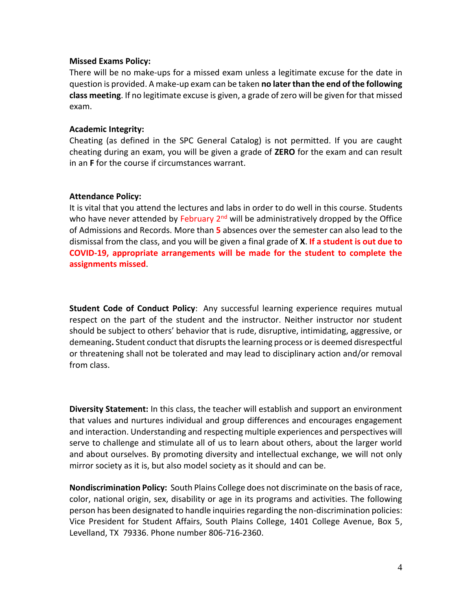#### **Missed Exams Policy:**

There will be no make-ups for a missed exam unless a legitimate excuse for the date in question is provided. A make-up exam can be taken **no later than the end of the following class meeting**. If no legitimate excuse is given, a grade of zero will be given for that missed exam.

#### **Academic Integrity:**

Cheating (as defined in the SPC General Catalog) is not permitted. If you are caught cheating during an exam, you will be given a grade of **ZERO** for the exam and can result in an **F** for the course if circumstances warrant.

### **Attendance Policy:**

It is vital that you attend the lectures and labs in order to do well in this course. Students who have never attended by February 2<sup>nd</sup> will be administratively dropped by the Office of Admissions and Records. More than **5** absences over the semester can also lead to the dismissal from the class, and you will be given a final grade of **X**. **If a student is out due to COVID-19, appropriate arrangements will be made for the student to complete the assignments missed**.

**Student Code of Conduct Policy**: Any successful learning experience requires mutual respect on the part of the student and the instructor. Neither instructor nor student should be subject to others' behavior that is rude, disruptive, intimidating, aggressive, or demeaning**.** Student conduct that disruptsthe learning process or is deemed disrespectful or threatening shall not be tolerated and may lead to disciplinary action and/or removal from class.

**Diversity Statement:** In this class, the teacher will establish and support an environment that values and nurtures individual and group differences and encourages engagement and interaction. Understanding and respecting multiple experiences and perspectives will serve to challenge and stimulate all of us to learn about others, about the larger world and about ourselves. By promoting diversity and intellectual exchange, we will not only mirror society as it is, but also model society as it should and can be.

**Nondiscrimination Policy:** South Plains College does not discriminate on the basis of race, color, national origin, sex, disability or age in its programs and activities. The following person has been designated to handle inquiries regarding the non-discrimination policies: Vice President for Student Affairs, South Plains College, 1401 College Avenue, Box 5, Levelland, TX 79336. Phone number 806-716-2360.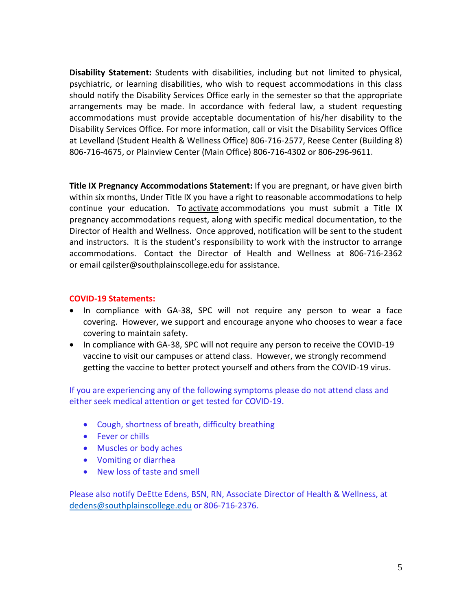**Disability Statement:** Students with disabilities, including but not limited to physical, psychiatric, or learning disabilities, who wish to request accommodations in this class should notify the Disability Services Office early in the semester so that the appropriate arrangements may be made. In accordance with federal law, a student requesting accommodations must provide acceptable documentation of his/her disability to the Disability Services Office. For more information, call or visit the Disability Services Office at Levelland (Student Health & Wellness Office) 806-716-2577, Reese Center (Building 8) 806-716-4675, or Plainview Center (Main Office) 806-716-4302 or 806-296-9611.

**Title IX Pregnancy Accommodations Statement:** If you are pregnant, or have given birth within six months, Under Title IX you have a right to reasonable accommodations to help continue your education. To [activate](http://www.southplainscollege.edu/employees/manualshandbooks/facultyhandbook/sec4.php) accommodations you must submit a Title IX pregnancy accommodations request, along with specific medical documentation, to the Director of Health and Wellness. Once approved, notification will be sent to the student and instructors. It is the student's responsibility to work with the instructor to arrange accommodations. Contact the Director of Health and Wellness at 806-716-2362 or [email](http://www.southplainscollege.edu/employees/manualshandbooks/facultyhandbook/sec4.php) [cgilster@southplainscollege.edu](mailto:cgilster@southplainscollege.edu) for assistance.

### **COVID-19 Statements:**

- In compliance with GA-38, SPC will not require any person to wear a face covering. However, we support and encourage anyone who chooses to wear a face covering to maintain safety.
- In compliance with GA-38, SPC will not require any person to receive the COVID-19 vaccine to visit our campuses or attend class. However, we strongly recommend getting the vaccine to better protect yourself and others from the COVID-19 virus.

If you are experiencing any of the following symptoms please do not attend class and either seek medical attention or get tested for COVID-19.

- Cough, shortness of breath, difficulty breathing
- Fever or chills
- Muscles or body aches
- Vomiting or diarrhea
- New loss of taste and smell

Please also notify DeEtte Edens, BSN, RN, Associate Director of Health & Wellness, at [dedens@southplainscollege.edu](mailto:dedens@southplainscollege.edu) or 806-716-2376.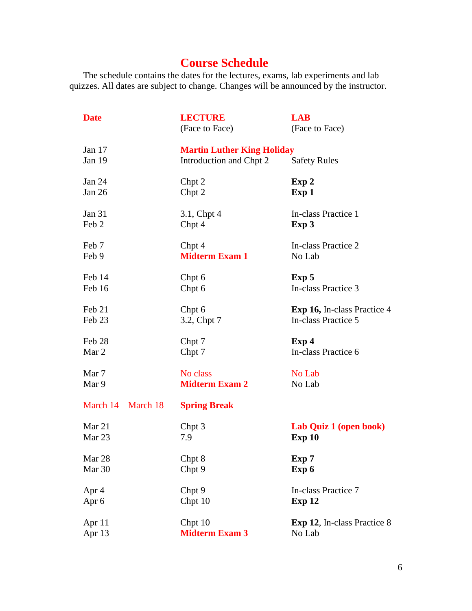# **Course Schedule**

The schedule contains the dates for the lectures, exams, lab experiments and lab quizzes. All dates are subject to change. Changes will be announced by the instructor.

| <b>Date</b>                   | <b>LECTURE</b><br>(Face to Face)                             | <b>LAB</b><br>(Face to Face)       |
|-------------------------------|--------------------------------------------------------------|------------------------------------|
| Jan $17$<br>Jan 19            | <b>Martin Luther King Holiday</b><br>Introduction and Chpt 2 | <b>Safety Rules</b>                |
| <b>Jan 24</b>                 | Chpt 2                                                       | Exp 2                              |
| Jan 26                        | Chpt 2                                                       | Exp 1                              |
| Jan 31                        | 3.1, Chpt 4                                                  | In-class Practice 1                |
| Feb 2                         | Chpt 4                                                       | Exp 3                              |
| Feb 7                         | Chpt 4                                                       | In-class Practice 2                |
| Feb 9                         | <b>Midterm Exam 1</b>                                        | No Lab                             |
| Feb 14                        | Chpt 6                                                       | Exp 5                              |
| Feb 16                        | Chpt 6                                                       | In-class Practice 3                |
| Feb 21                        | Chpt 6                                                       | <b>Exp 16, In-class Practice 4</b> |
| Feb 23                        | 3.2, Chpt 7                                                  | In-class Practice 5                |
| Feb 28                        | Chpt 7                                                       | Exp <sub>4</sub>                   |
| Mar 2                         | Chpt 7                                                       | In-class Practice 6                |
| Mar 7                         | No class                                                     | No Lab                             |
| Mar 9                         | <b>Midterm Exam 2</b>                                        | No Lab                             |
| March $14 - \text{March } 18$ | <b>Spring Break</b>                                          |                                    |
| Mar 21                        | Chpt 3                                                       | Lab Quiz 1 (open book)             |
| Mar 23                        | 7.9                                                          | Exp 10                             |
| Mar 28                        | Chpt 8                                                       | Exp 7                              |
| Mar 30                        | Chpt 9                                                       | Exp 6                              |
| Apr 4                         | Chpt 9                                                       | In-class Practice 7                |
| Apr 6                         | Chpt 10                                                      | Exp 12                             |
| Apr 11                        | Chpt 10                                                      | Exp 12, In-class Practice 8        |
| Apr 13                        | <b>Midterm Exam 3</b>                                        | No Lab                             |